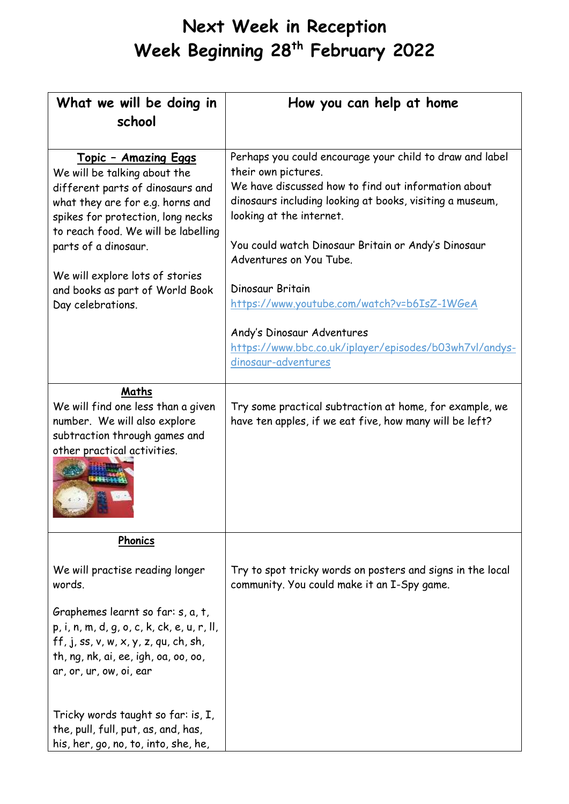| What we will be doing in<br>school                                                                                                                                                                                                                                                                                                  | How you can help at home                                                                                                                                                                                                                                                                                                                                                            |
|-------------------------------------------------------------------------------------------------------------------------------------------------------------------------------------------------------------------------------------------------------------------------------------------------------------------------------------|-------------------------------------------------------------------------------------------------------------------------------------------------------------------------------------------------------------------------------------------------------------------------------------------------------------------------------------------------------------------------------------|
| <u> Topic - Amazing Eggs</u><br>We will be talking about the<br>different parts of dinosaurs and<br>what they are for e.g. horns and<br>spikes for protection, long necks<br>to reach food. We will be labelling<br>parts of a dinosaur.<br>We will explore lots of stories<br>and books as part of World Book<br>Day celebrations. | Perhaps you could encourage your child to draw and label<br>their own pictures.<br>We have discussed how to find out information about<br>dinosaurs including looking at books, visiting a museum,<br>looking at the internet.<br>You could watch Dinosaur Britain or Andy's Dinosaur<br>Adventures on You Tube.<br>Dinosaur Britain<br>https://www.youtube.com/watch?v=b6IsZ-1WGeA |
|                                                                                                                                                                                                                                                                                                                                     | Andy's Dinosaur Adventures<br>https://www.bbc.co.uk/iplayer/episodes/b03wh7vl/andys-<br>dinosaur-adventures                                                                                                                                                                                                                                                                         |
| Maths<br>We will find one less than a given<br>number. We will also explore<br>subtraction through games and<br>other practical activities.                                                                                                                                                                                         | Try some practical subtraction at home, for example, we<br>have ten apples, if we eat five, how many will be left?                                                                                                                                                                                                                                                                  |
| Phonics                                                                                                                                                                                                                                                                                                                             |                                                                                                                                                                                                                                                                                                                                                                                     |
| We will practise reading longer<br>words.                                                                                                                                                                                                                                                                                           | Try to spot tricky words on posters and signs in the local<br>community. You could make it an I-Spy game.                                                                                                                                                                                                                                                                           |
| Graphemes learnt so far: s, a, t,<br>p, i, n, m, d, g, o, c, k, ck, e, u, r, ll,<br>ff, j, ss, v, w, x, y, z, qu, ch, sh,<br>th, ng, nk, ai, ee, igh, oa, oo, oo,<br>ar, or, ur, ow, oi, ear                                                                                                                                        |                                                                                                                                                                                                                                                                                                                                                                                     |
| Tricky words taught so far: is, I,<br>the, pull, full, put, as, and, has,<br>his, her, go, no, to, into, she, he,                                                                                                                                                                                                                   |                                                                                                                                                                                                                                                                                                                                                                                     |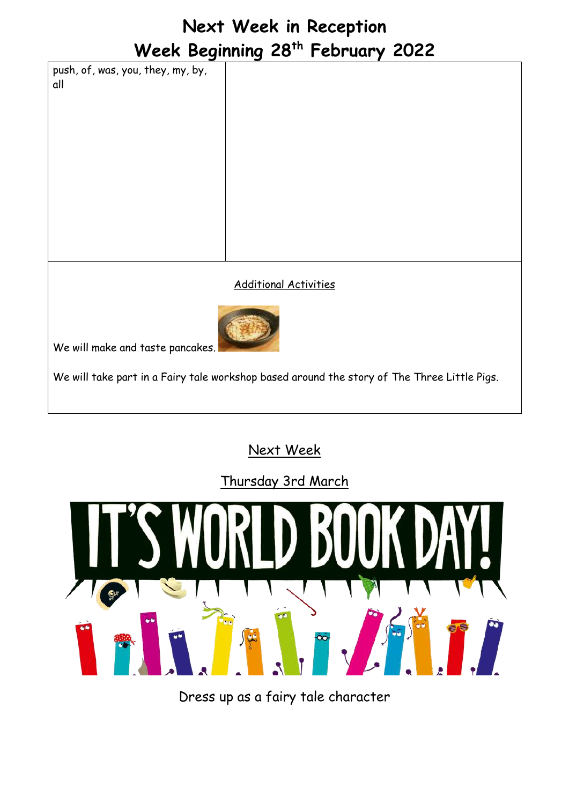push, of, was, you, they, my, by, all

Additional Activities



We will make and taste pancakes.

We will take part in a Fairy tale workshop based around the story of The Three Little Pigs.

#### Next Week

Thursday 3rd March



Dress up as a fairy tale character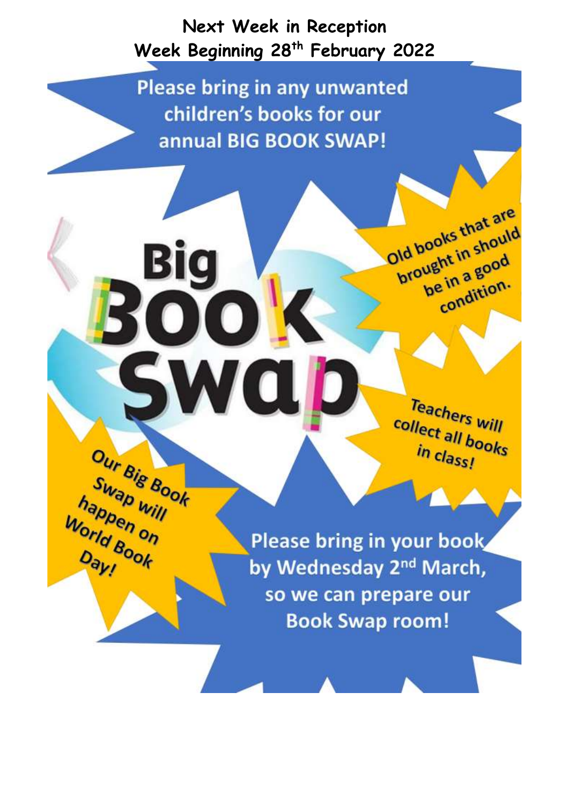**Please bring in any unwanted** children's books for our annual BIG BOOK SWAP!

Our Big Book

Swap will

happen will

World Book

Day!

Teachers<br>Illect all : collect all books in class!

Old books that are

brought in should

be in a good

e in a guern.

Please bring in your book by Wednesday 2<sup>nd</sup> March, so we can prepare our **Book Swap room!**